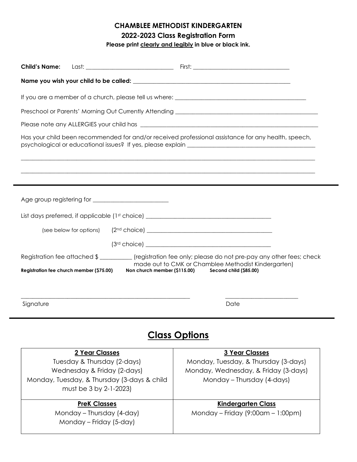## CHAMBLEE METHODIST KINDERGARTEN 2022-2023 Class Registration Form

Please print clearly and legibly in blue or black ink.

| <b>Child's Name:</b>                                                                                                                                                                     |                                                                               |  |  |
|------------------------------------------------------------------------------------------------------------------------------------------------------------------------------------------|-------------------------------------------------------------------------------|--|--|
|                                                                                                                                                                                          |                                                                               |  |  |
|                                                                                                                                                                                          |                                                                               |  |  |
|                                                                                                                                                                                          |                                                                               |  |  |
|                                                                                                                                                                                          |                                                                               |  |  |
| Has your child been recommended for and/or received professional assistance for any health, speech,<br>psychological or educational issues? If yes, please explain _____________________ |                                                                               |  |  |
|                                                                                                                                                                                          |                                                                               |  |  |
|                                                                                                                                                                                          |                                                                               |  |  |
|                                                                                                                                                                                          |                                                                               |  |  |
|                                                                                                                                                                                          |                                                                               |  |  |
| List days preferred, if applicable (1st choice) ________________________________                                                                                                         |                                                                               |  |  |
| (see below for options)                                                                                                                                                                  |                                                                               |  |  |
|                                                                                                                                                                                          |                                                                               |  |  |
| Registration fee attached \$_____________(registration fee only; please do not pre-pay any other fees; check                                                                             |                                                                               |  |  |
| Registration fee church member (\$75.00)<br>Non church member (\$115.00)                                                                                                                 | made out to CMK or Chamblee Methodist Kindergarten)<br>Second child (\$85.00) |  |  |
|                                                                                                                                                                                          |                                                                               |  |  |
|                                                                                                                                                                                          |                                                                               |  |  |
| Signature                                                                                                                                                                                | Date                                                                          |  |  |
|                                                                                                                                                                                          |                                                                               |  |  |
| <b>Class Options</b>                                                                                                                                                                     |                                                                               |  |  |
| 2 Year Classes                                                                                                                                                                           | <b>3 Year Classes</b>                                                         |  |  |
| Tuesday & Thursday (2-days)                                                                                                                                                              | Monday, Tuesday, & Thursday (3-days)                                          |  |  |
| Wednesday & Friday (2-days)<br>Monday, Tuesday, & Thursday (3-days & child                                                                                                               | Monday, Wednesday, & Friday (3-days)<br>Monday - Thursday (4-days)            |  |  |
| must be 3 by 2-1-2023)                                                                                                                                                                   |                                                                               |  |  |
| <b>PreK Classes</b>                                                                                                                                                                      | <b>Kindergarten Class</b>                                                     |  |  |
| Monday - Thursday (4-day)                                                                                                                                                                | Monday – Friday (9:00am – 1:00pm)                                             |  |  |
| Monday - Friday (5-day)                                                                                                                                                                  |                                                                               |  |  |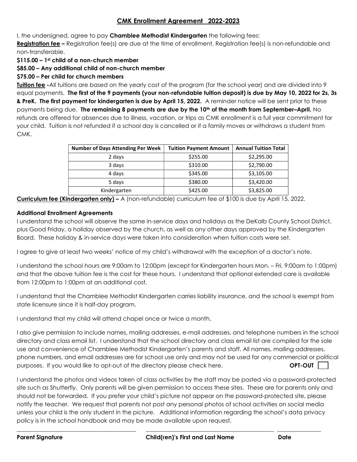#### CMK Enrollment Agreement 2022-2023

I, the undersigned, agree to pay Chamblee Methodist Kindergarten the following fees:

Registration fee – Registration fee(s) are due at the time of enrollment. Registration fee(s) is non-refundable and non-transferable.

\$115.00 – 1st child of a non-church member

\$85.00 – Any additional child of non-church member

#### \$75.00 – Per child for church members

Tuition fee -All tuitions are based on the yearly cost of the program (for the school year) and are divided into 9 equal payments. The first of the 9 payments (your non-refundable tuition deposit) is due by May 10, 2022 for 2s, 3s & PreK. The first payment for kindergarten is due by April 15, 2022. A reminder notice will be sent prior to these payments being due. The remaining 8 payments are due by the 10<sup>th</sup> of the month from September–April. No refunds are offered for absences due to illness, vacation, or trips as CMK enrollment is a full year commitment for your child. Tuition is not refunded if a school day is cancelled or if a family moves or withdraws a student from CMK.

| <b>Number of Days Attending Per Week</b> | <b>Tuition Payment Amount</b> | <b>Annual Tuition Total</b> |
|------------------------------------------|-------------------------------|-----------------------------|
| 2 days                                   | \$255.00                      | \$2,295.00                  |
| 3 days                                   | \$310.00                      | \$2,790.00                  |
| 4 days                                   | \$345.00                      | \$3,105.00                  |
| 5 days                                   | \$380.00                      | \$3,420.00                  |
| Kindergarten                             | \$425.00                      | \$3,825.00                  |

Curriculum fee (Kindergarten only) – A (non-refundable) curriculum fee of \$100 is due by April 15, 2022.

#### Additional Enrollment Agreements

I understand the school will observe the same in-service days and holidays as the DeKalb County School District, plus Good Friday, a holiday observed by the church, as well as any other days approved by the Kindergarten Board. These holiday & in-service days were taken into consideration when tuition costs were set.

I agree to give at least two weeks' notice of my child's withdrawal with the exception of a doctor's note.

I understand the school hours are 9:00am to 12:00pm (except for Kindergarten hours Mon. – Fri. 9:00am to 1:00pm) and that the above tuition fee is the cost for these hours. I understand that optional extended care is available from 12:00pm to 1:00pm at an additional cost.

I understand that the Chamblee Methodist Kindergarten carries liability insurance, and the school is exempt from state licensure since it is half-day program.

I understand that my child will attend chapel once or twice a month.

I also give permission to include names, mailing addresses, e-mail addresses, and telephone numbers in the school directory and class email list. I understand that the school directory and class email list are compiled for the sole use and convenience of Chamblee Methodist Kindergarten's parents and staff. All names, mailing addresses, phone numbers, and email addresses are for school use only and may not be used for any commercial or political purposes. If you would like to opt-out of the directory please check here. **OPT-OUT** 

I understand the photos and videos taken of class activities by the staff may be posted via a password-protected site such as Shutterfly. Only parents will be given permission to access these sites. These are for parents only and should not be forwarded. If you prefer your child's picture not appear on the password-protected site, please notify the teacher. We request that parents not post any personal photos of school activities on social media unless your child is the only student in the picture. Additional information regarding the school's data privacy policy is in the school handbook and may be made available upon request.

\_\_\_\_\_\_\_\_\_\_\_\_\_\_\_\_\_\_\_\_\_\_\_\_\_\_\_\_\_\_\_\_\_\_\_\_\_\_\_\_\_ \_\_\_\_\_\_\_\_\_\_\_\_\_\_\_\_\_\_\_\_\_\_\_\_\_\_\_\_\_\_\_\_\_\_\_\_\_\_\_\_\_\_\_\_ \_\_\_\_\_\_\_\_\_\_\_\_\_\_\_